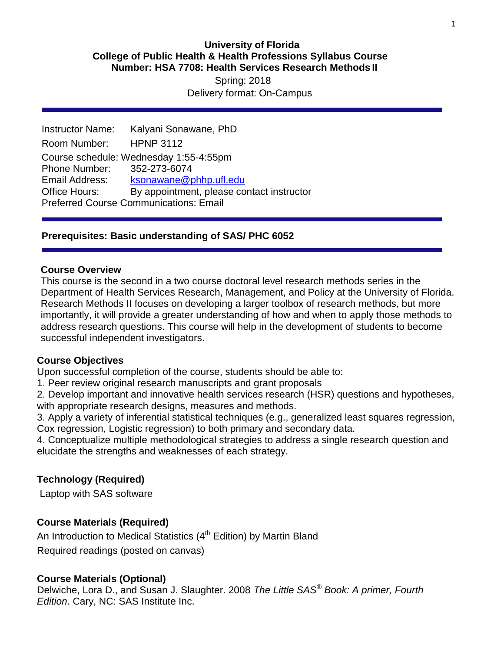### **University of Florida College of Public Health & Health Professions Syllabus Course Number: HSA 7708: Health Services Research Methods II**

 Spring: 2018 Delivery format: On-Campus

Instructor Name: Kalyani Sonawane, PhD Room Number: HPNP 3112 Course schedule: Wednesday 1:55-4:55pm Phone Number: 352-273-6074 Email Address: [ksonawane@phhp.ufl.edu](mailto:ksonawane@phhp.ufl.edu) Office Hours: By appointment, please contact instructor Preferred Course Communications: Email

### **Prerequisites: Basic understanding of SAS/ PHC 6052**

### **Course Overview**

This course is the second in a two course doctoral level research methods series in the Department of Health Services Research, Management, and Policy at the University of Florida. Research Methods II focuses on developing a larger toolbox of research methods, but more importantly, it will provide a greater understanding of how and when to apply those methods to address research questions. This course will help in the development of students to become successful independent investigators.

#### **Course Objectives**

Upon successful completion of the course, students should be able to:

1. Peer review original research manuscripts and grant proposals

2. Develop important and innovative health services research (HSR) questions and hypotheses, with appropriate research designs, measures and methods.

3. Apply a variety of inferential statistical techniques (e.g., generalized least squares regression, Cox regression, Logistic regression) to both primary and secondary data.

4. Conceptualize multiple methodological strategies to address a single research question and elucidate the strengths and weaknesses of each strategy.

#### **Technology (Required)**

Laptop with SAS software

#### **Course Materials (Required)**

An Introduction to Medical Statistics  $(4<sup>th</sup>$  Edition) by Martin Bland Required readings (posted on canvas)

#### **Course Materials (Optional)**

Delwiche, Lora D., and Susan J. Slaughter. 2008 *The Little SAS® Book: A primer, Fourth Edition*. Cary, NC: SAS Institute Inc.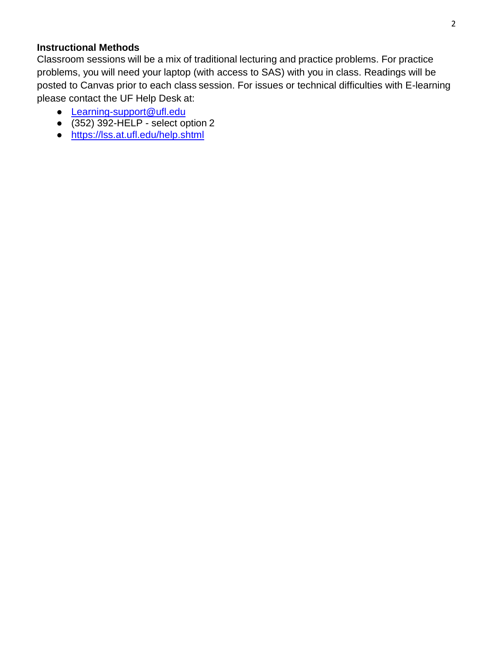### **Instructional Methods**

Classroom sessions will be a mix of traditional lecturing and practice problems. For practice problems, you will need your laptop (with access to SAS) with you in class. Readings will be posted to Canvas prior to each class session. For issues or technical difficulties with E-learning please contact the UF Help Desk at:

- [Learning-support@ufl.edu](mailto:Learning-support@ufl.edu)
- $\bullet$  (352) 392-HELP select option 2
- https://lss.at.ufl.edu/help.shtml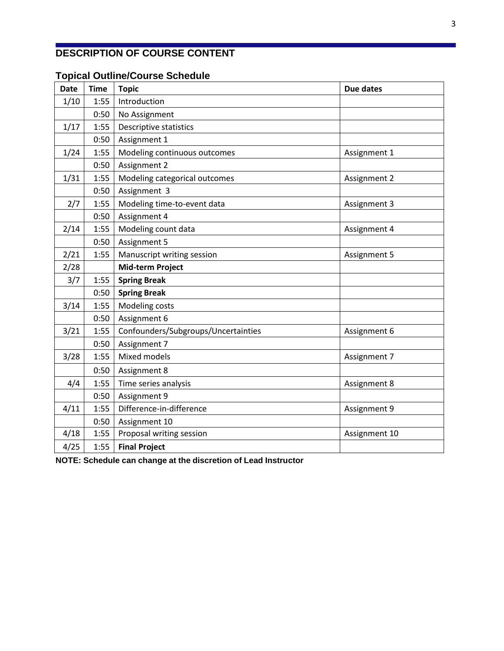# **DESCRIPTION OF COURSE CONTENT**

# **Topical Outline/Course Schedule**

| Date | Time | <b>Topic</b>                        | <b>Due dates</b>    |  |  |  |  |
|------|------|-------------------------------------|---------------------|--|--|--|--|
| 1/10 | 1:55 | Introduction                        |                     |  |  |  |  |
|      | 0:50 | No Assignment                       |                     |  |  |  |  |
| 1/17 | 1:55 | Descriptive statistics              |                     |  |  |  |  |
|      | 0:50 | Assignment 1                        |                     |  |  |  |  |
| 1/24 | 1:55 | Modeling continuous outcomes        | Assignment 1        |  |  |  |  |
|      | 0:50 | Assignment 2                        |                     |  |  |  |  |
| 1/31 | 1:55 | Modeling categorical outcomes       | Assignment 2        |  |  |  |  |
|      | 0:50 | Assignment 3                        |                     |  |  |  |  |
| 2/7  | 1:55 | Modeling time-to-event data         | Assignment 3        |  |  |  |  |
|      | 0:50 | Assignment 4                        |                     |  |  |  |  |
| 2/14 | 1:55 | Modeling count data                 | Assignment 4        |  |  |  |  |
|      | 0:50 | Assignment 5                        |                     |  |  |  |  |
| 2/21 | 1:55 | Manuscript writing session          | <b>Assignment 5</b> |  |  |  |  |
| 2/28 |      | Mid-term Project                    |                     |  |  |  |  |
| 3/7  | 1:55 | <b>Spring Break</b>                 |                     |  |  |  |  |
|      | 0:50 | <b>Spring Break</b>                 |                     |  |  |  |  |
| 3/14 | 1:55 | Modeling costs                      |                     |  |  |  |  |
|      | 0:50 | Assignment 6                        |                     |  |  |  |  |
| 3/21 | 1:55 | Confounders/Subgroups/Uncertainties | Assignment 6        |  |  |  |  |
|      | 0:50 | Assignment 7                        |                     |  |  |  |  |
| 3/28 | 1:55 | Mixed models                        | Assignment 7        |  |  |  |  |
|      | 0:50 | Assignment 8                        |                     |  |  |  |  |
| 4/4  | 1:55 | Time series analysis                | Assignment 8        |  |  |  |  |
|      | 0:50 | Assignment 9                        |                     |  |  |  |  |
| 4/11 | 1:55 | Difference-in-difference            | Assignment 9        |  |  |  |  |
|      | 0:50 | Assignment 10                       |                     |  |  |  |  |
| 4/18 | 1:55 | Proposal writing session            | Assignment 10       |  |  |  |  |
| 4/25 | 1:55 | <b>Final Project</b>                |                     |  |  |  |  |

**NOTE: Schedule can change at the discretion of Lead Instructor**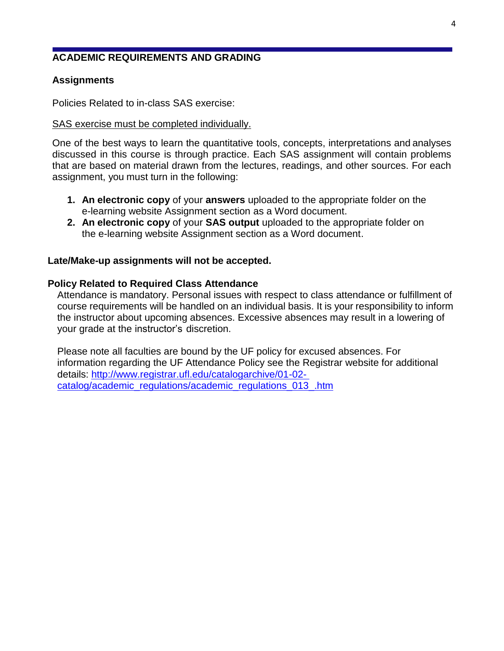# **ACADEMIC REQUIREMENTS AND GRADING**

### **Assignments**

Policies Related to in-class SAS exercise:

#### SAS exercise must be completed individually.

One of the best ways to learn the quantitative tools, concepts, interpretations and analyses discussed in this course is through practice. Each SAS assignment will contain problems that are based on material drawn from the lectures, readings, and other sources. For each assignment, you must turn in the following:

- **1. An electronic copy** of your **answers** uploaded to the appropriate folder on the e-learning website Assignment section as a Word document.
- **2. An electronic copy** of your **SAS output** uploaded to the appropriate folder on the e-learning website Assignment section as a Word document.

#### **Late/Make-up assignments will not be accepted.**

#### **Policy Related to Required Class Attendance**

Attendance is mandatory. Personal issues with respect to class attendance or fulfillment of course requirements will be handled on an individual basis. It is your responsibility to inform the instructor about upcoming absences. Excessive absences may result in a lowering of your grade at the instructor's discretion.

Please note all faculties are bound by the UF policy for excused absences. For information regarding the UF Attendance Policy see the Registrar website for additional details: [http://www.registrar.ufl.edu/catalogarchive/01-02](http://www.registrar.ufl.edu/catalogarchive/01-02-catalog/academic_regulations/academic_regulations_013_.htm) [catalog/academic\\_regulations/academic\\_regulations\\_013\\_.htm](http://www.registrar.ufl.edu/catalogarchive/01-02-catalog/academic_regulations/academic_regulations_013_.htm)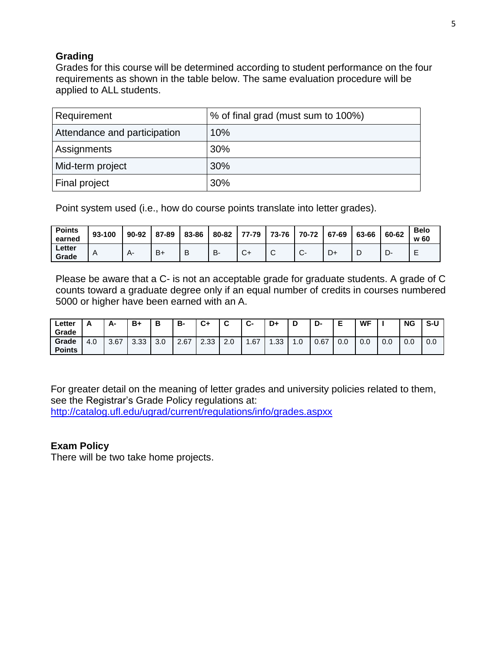# **Grading**

Grades for this course will be determined according to student performance on the four requirements as shown in the table below. The same evaluation procedure will be applied to ALL students.

| Requirement                  | % of final grad (must sum to 100%) |
|------------------------------|------------------------------------|
| Attendance and participation | 10%                                |
| Assignments                  | 30%                                |
| Mid-term project             | 30%                                |
| Final project                | 30%                                |

Point system used (i.e., how do course points translate into letter grades).

| <b>Points</b><br>earned | 93-100 | 90-92 | 87-89 | 83-86 | 80-82 | 77-79        | 73-76           | 70-72        | 67-69 | 63-66 | 60-62 | <b>Belo</b><br>w 60 |
|-------------------------|--------|-------|-------|-------|-------|--------------|-----------------|--------------|-------|-------|-------|---------------------|
| Letter<br>Grade         | Α      | A-    | $B+$  | B     | В-    | $\sim$<br>◡+ | $\sqrt{2}$<br>ັ | $\sim$<br>J. | D+    |       | יש    | -                   |

Please be aware that a C- is not an acceptable grade for graduate students. A grade of C counts toward a graduate degree only if an equal number of credits in courses numbered 5000 or higher have been earned with an A.

| ∟etter<br>Grade        | ~   | А-   | B+   | В   | в-   | C+   | ~   | $\sim$<br>ູບ | D+   | D                        | D-   |     | WF  |     | <b>NG</b> | $S-U$ |
|------------------------|-----|------|------|-----|------|------|-----|--------------|------|--------------------------|------|-----|-----|-----|-----------|-------|
| Grade<br><b>Points</b> | 4.0 | 3.67 | 3.33 | 3.0 | 2.67 | 2.33 | 2.0 | .67          | . 33 | $\overline{\phantom{a}}$ | 0.67 | 0.0 | 0.0 | 0.0 | 0.0       | 0.0   |

For greater detail on the meaning of letter grades and university policies related to them, see the Registrar's Grade Policy regulations at:

<http://catalog.ufl.edu/ugrad/current/regulations/info/grades.aspxx>

### **Exam Policy**

There will be two take home projects.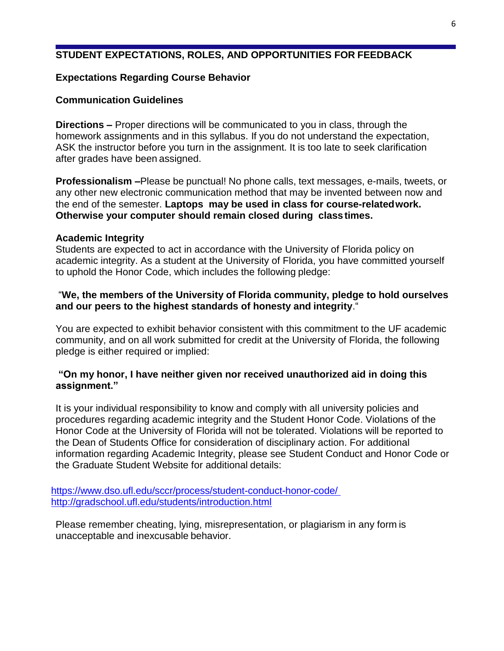# **STUDENT EXPECTATIONS, ROLES, AND OPPORTUNITIES FOR FEEDBACK**

### **Expectations Regarding Course Behavior**

### **Communication Guidelines**

**Directions –** Proper directions will be communicated to you in class, through the homework assignments and in this syllabus. If you do not understand the expectation, ASK the instructor before you turn in the assignment. It is too late to seek clarification after grades have been assigned.

**Professionalism** *–*Please be punctual! No phone calls, text messages, e-mails, tweets, or any other new electronic communication method that may be invented between now and the end of the semester. **Laptops may be used in class for course-relatedwork. Otherwise your computer should remain closed during classtimes.**

#### **Academic Integrity**

Students are expected to act in accordance with the University of Florida policy on academic integrity. As a student at the University of Florida, you have committed yourself to uphold the Honor Code, which includes the following pledge:

### "**We, the members of the University of Florida community, pledge to hold ourselves and our peers to the highest standards of honesty and integrity**."

You are expected to exhibit behavior consistent with this commitment to the UF academic community, and on all work submitted for credit at the University of Florida, the following pledge is either required or implied:

### **"On my honor, I have neither given nor received unauthorized aid in doing this assignment."**

It is your individual responsibility to know and comply with all university policies and procedures regarding academic integrity and the Student Honor Code. Violations of the Honor Code at the University of Florida will not be tolerated. Violations will be reported to the Dean of Students Office for consideration of disciplinary action. For additional information regarding Academic Integrity, please see Student Conduct and Honor Code or the Graduate Student Website for additional details:

<https://www.dso.ufl.edu/sccr/process/student-conduct-honor-code/> <http://gradschool.ufl.edu/students/introduction.html>

Please remember cheating, lying, misrepresentation, or plagiarism in any form is unacceptable and inexcusable behavior.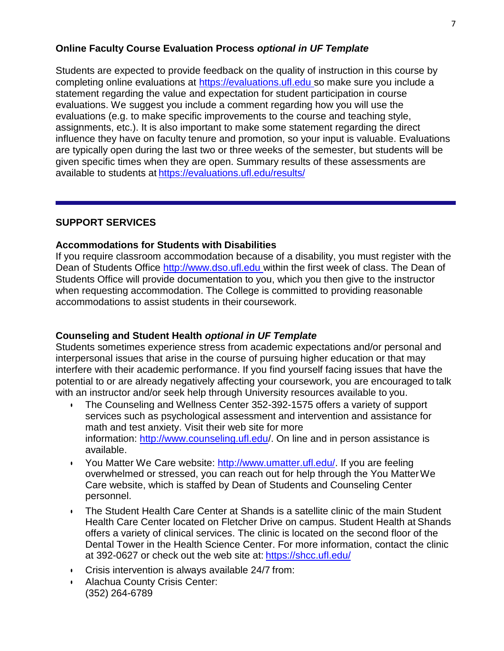### **Online Faculty Course Evaluation Process** *optional in UF Template*

Students are expected to provide feedback on the quality of instruction in this course by completing online evaluations at [https://evaluations.ufl.edu s](https://evaluations.ufl.edu/)o make sure you include a statement regarding the value and expectation for student participation in course evaluations. We suggest you include a comment regarding how you will use the evaluations (e.g. to make specific improvements to the course and teaching style, assignments, etc.). It is also important to make some statement regarding the direct influence they have on faculty tenure and promotion, so your input is valuable. Evaluations are typically open during the last two or three weeks of the semester, but students will be given specific times when they are open. Summary results of these assessments are available to students at <https://evaluations.ufl.edu/results/>

### **SUPPORT SERVICES**

#### **Accommodations for Students with Disabilities**

If you require classroom accommodation because of a disability, you must register with the Dean of Students Office [http://www.dso.ufl.edu w](http://www.dso.ufl.edu/)ithin the first week of class. The Dean of Students Office will provide documentation to you, which you then give to the instructor when requesting accommodation. The College is committed to providing reasonable accommodations to assist students in their coursework.

### **Counseling and Student Health** *optional in UF Template*

Students sometimes experience stress from academic expectations and/or personal and interpersonal issues that arise in the course of pursuing higher education or that may interfere with their academic performance. If you find yourself facing issues that have the potential to or are already negatively affecting your coursework, you are encouraged to talk with an instructor and/or seek help through University resources available to you.

- The Counseling and Wellness Center 352-392-1575 offers a variety of support services such as psychological assessment and intervention and assistance for math and test anxiety. Visit their web site for more information:<http://www.counseling.ufl.edu/>. On line and in person assistance is available.
- You Matter We Care website: [http://www.umatter.ufl.edu/.](http://www.umatter.ufl.edu/) If you are feeling overwhelmed or stressed, you can reach out for help through the You MatterWe Care website, which is staffed by Dean of Students and Counseling Center personnel.
- The Student Health Care Center at Shands is a satellite clinic of the main Student Health Care Center located on Fletcher Drive on campus. Student Health at Shands offers a variety of clinical services. The clinic is located on the second floor of the Dental Tower in the Health Science Center. For more information, contact the clinic at 392-0627 or check out the web site at: <https://shcc.ufl.edu/>
- Crisis intervention is always available 24/7 from:
- Alachua County Crisis Center: (352) 264-6789